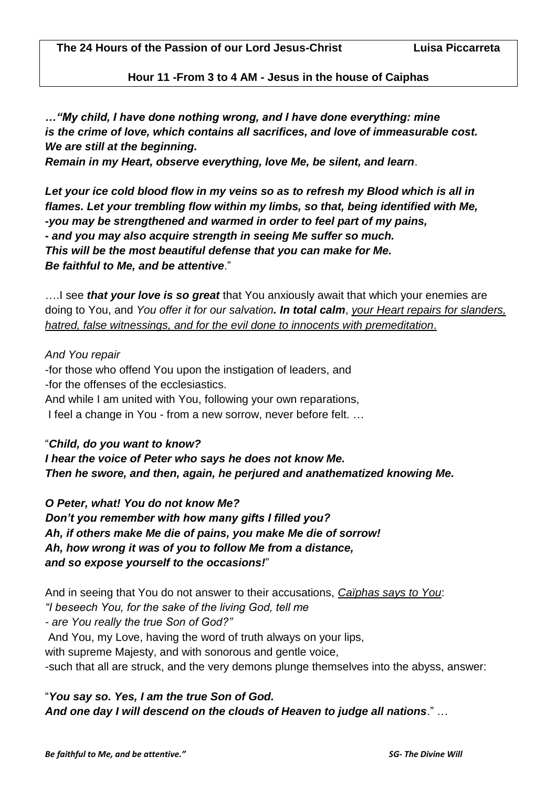**Hour 11 -From 3 to 4 AM - Jesus in the house of Caiphas**

*…"My child, I have done nothing wrong, and I have done everything: mine is the crime of love, which contains all sacrifices, and love of immeasurable cost. We are still at the beginning. Remain in my Heart, observe everything, love Me, be silent, and learn*.

*Let your ice cold blood flow in my veins so as to refresh my Blood which is all in flames. Let your trembling flow within my limbs, so that, being identified with Me, -you may be strengthened and warmed in order to feel part of my pains, - and you may also acquire strength in seeing Me suffer so much. This will be the most beautiful defense that you can make for Me.* 

*Be faithful to Me, and be attentive*."

….I see *that your love is so great* that You anxiously await that which your enemies are doing to You, and *You offer it for our salvation. In total calm*, *your Heart repairs for slanders, hatred, false witnessings, and for the evil done to innocents with premeditation.*

## *And You repair*

-for those who offend You upon the instigation of leaders, and -for the offenses of the ecclesiastics. And while I am united with You, following your own reparations, I feel a change in You - from a new sorrow, never before felt. …

"*Child, do you want to know? I hear the voice of Peter who says he does not know Me. Then he swore, and then, again, he perjured and anathematized knowing Me.* 

*O Peter, what! You do not know Me? Don't you remember with how many gifts I filled you? Ah, if others make Me die of pains, you make Me die of sorrow! Ah, how wrong it was of you to follow Me from a distance, and so expose yourself to the occasions!*"

And in seeing that You do not answer to their accusations, *Caïphas says to You*: *"I beseech You, for the sake of the living God, tell me - are You really the true Son of God?"* And You, my Love, having the word of truth always on your lips, with supreme Majesty, and with sonorous and gentle voice, -such that all are struck, and the very demons plunge themselves into the abyss, answer:

"*You say so. Yes, I am the true Son of God. And one day I will descend on the clouds of Heaven to judge all nations*." …